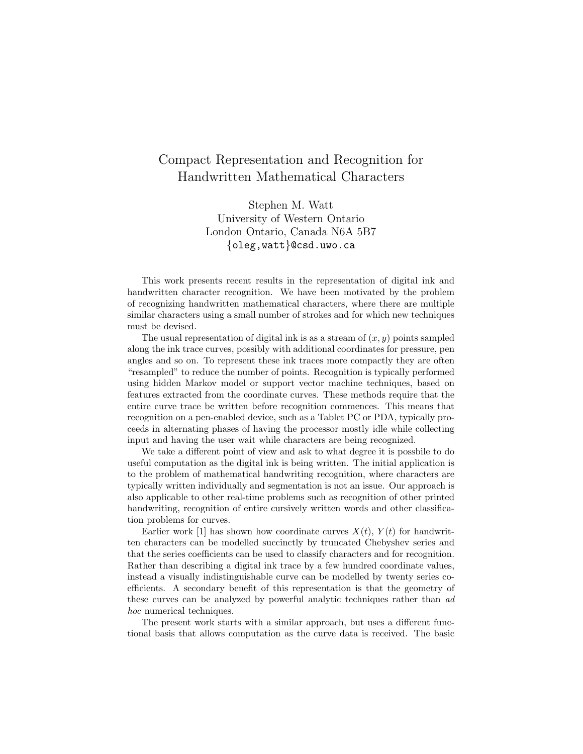## Compact Representation and Recognition for Handwritten Mathematical Characters

Stephen M. Watt University of Western Ontario London Ontario, Canada N6A 5B7 {oleg,watt}@csd.uwo.ca

This work presents recent results in the representation of digital ink and handwritten character recognition. We have been motivated by the problem of recognizing handwritten mathematical characters, where there are multiple similar characters using a small number of strokes and for which new techniques must be devised.

The usual representation of digital ink is as a stream of  $(x, y)$  points sampled along the ink trace curves, possibly with additional coordinates for pressure, pen angles and so on. To represent these ink traces more compactly they are often "resampled" to reduce the number of points. Recognition is typically performed using hidden Markov model or support vector machine techniques, based on features extracted from the coordinate curves. These methods require that the entire curve trace be written before recognition commences. This means that recognition on a pen-enabled device, such as a Tablet PC or PDA, typically proceeds in alternating phases of having the processor mostly idle while collecting input and having the user wait while characters are being recognized.

We take a different point of view and ask to what degree it is possbile to do useful computation as the digital ink is being written. The initial application is to the problem of mathematical handwriting recognition, where characters are typically written individually and segmentation is not an issue. Our approach is also applicable to other real-time problems such as recognition of other printed handwriting, recognition of entire cursively written words and other classification problems for curves.

Earlier work [1] has shown how coordinate curves  $X(t)$ ,  $Y(t)$  for handwritten characters can be modelled succinctly by truncated Chebyshev series and that the series coefficients can be used to classify characters and for recognition. Rather than describing a digital ink trace by a few hundred coordinate values, instead a visually indistinguishable curve can be modelled by twenty series coefficients. A secondary benefit of this representation is that the geometry of these curves can be analyzed by powerful analytic techniques rather than ad hoc numerical techniques.

The present work starts with a similar approach, but uses a different functional basis that allows computation as the curve data is received. The basic